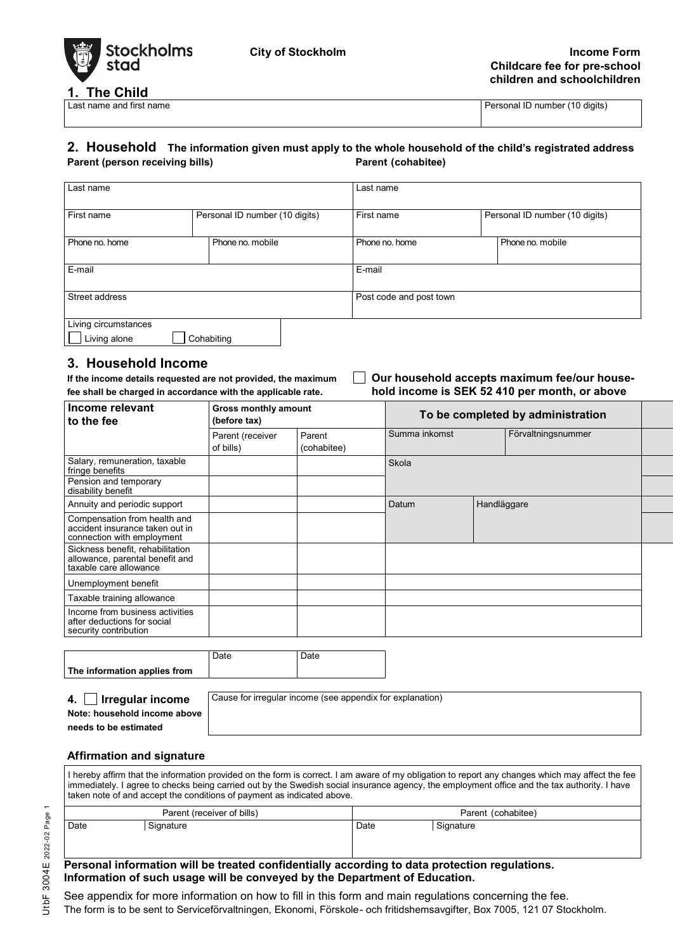

**1. The Child**<br>Last name and first name

Personal ID number (10 digits)

#### **2. Household The information given must apply to the whole household of the child's registrated address Parent (person receiving bills) Parent (cohabitee)**

| Last name                            |                                |                  | Last name               |                                |                  |
|--------------------------------------|--------------------------------|------------------|-------------------------|--------------------------------|------------------|
| First name                           | Personal ID number (10 digits) |                  | First name              | Personal ID number (10 digits) |                  |
| Phone no. home                       |                                | Phone no. mobile | Phone no, home          |                                | Phone no. mobile |
| E-mail                               |                                |                  | E-mail                  |                                |                  |
| Street address                       |                                |                  | Post code and post town |                                |                  |
| Living circumstances<br>Living alone |                                | Cohabiting       |                         |                                |                  |

**3. Household Income** fee shall be charged in accordance with the applicable rate.

# **If Our household accepts maximum fee/our house-<br>hold income is SEK 52 410 per month, or above**

| Income relevant<br>to the fee                                                                 | <b>Gross monthly amount</b><br>(before tax) |                       | To be completed by administration |             |                    |  |
|-----------------------------------------------------------------------------------------------|---------------------------------------------|-----------------------|-----------------------------------|-------------|--------------------|--|
|                                                                                               | Parent (receiver<br>of bills)               | Parent<br>(cohabitee) | Summa inkomst                     |             | Förvaltningsnummer |  |
| Salary, remuneration, taxable<br>fringe benefits                                              |                                             |                       | Skola                             |             |                    |  |
| Pension and temporary<br>disability benefit                                                   |                                             |                       |                                   |             |                    |  |
| Annuity and periodic support                                                                  |                                             |                       | Datum                             | Handläggare |                    |  |
| Compensation from health and<br>accident insurance taken out in<br>connection with employment |                                             |                       |                                   |             |                    |  |
| Sickness benefit, rehabilitation<br>allowance, parental benefit and<br>taxable care allowance |                                             |                       |                                   |             |                    |  |
| Unemployment benefit                                                                          |                                             |                       |                                   |             |                    |  |
| Taxable training allowance                                                                    |                                             |                       |                                   |             |                    |  |
| Income from business activities<br>after deductions for social<br>security contribution       |                                             |                       |                                   |             |                    |  |

|                              | Date | Date |
|------------------------------|------|------|
| The information applies from |      |      |

|  | 4. $\Box$ Irregular income |  |
|--|----------------------------|--|
|  |                            |  |

Cause for irregular income (see appendix for explanation)

**Note: household income above needs to be estimated**

#### **Affirmation and signature**

I hereby affirm that the information provided on the form is correct. I am aware of my obligation to report any changes which may affect the fee immediately. I agree to checks being carried out by the Swedish social insurance agency, the employment office and the tax authority. I have taken note of and accept the conditions of payment as indicated above.

| Parent (receiver of bills) |           |      | Parent (cohabitee) |  |  |
|----------------------------|-----------|------|--------------------|--|--|
| Date                       | Signature | Date | Signature          |  |  |

#### **Personal information will be treated confidentially according to data protection regulations. Information of such usage will be conveyed by the Department of Education.**

See appendix for more information on how to fill in this form and main regulations concerning the fee.

The form is to be sent to Serviceförvaltningen, Ekonomi, Förskole- och fritidshemsavgifter, Box 7005, 121 07 Stockholm.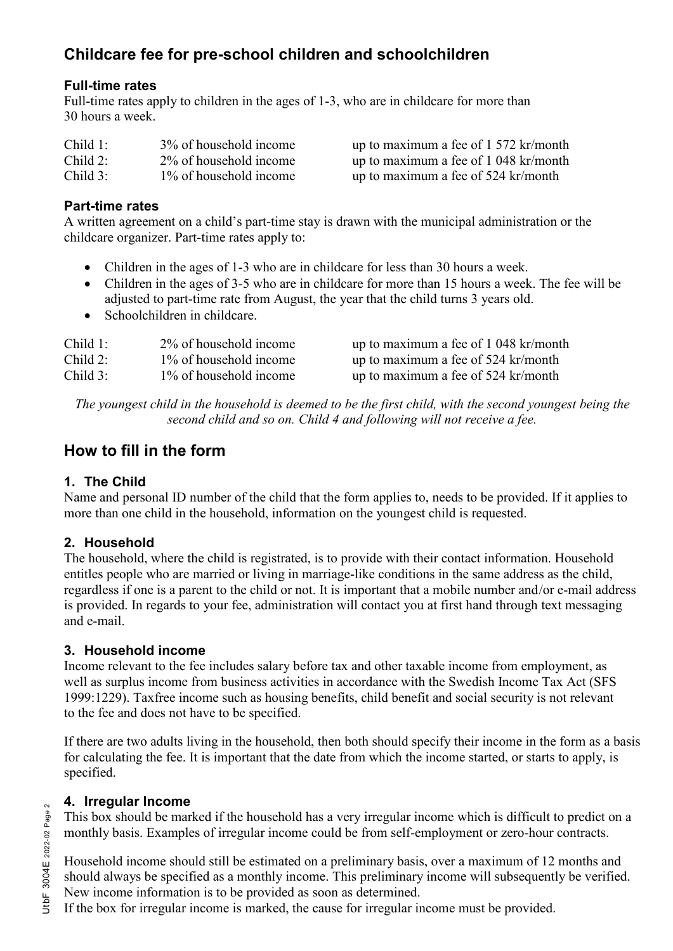## **Childcare fee for pre-school children and schoolchildren**

#### **Full-time rates**

Full-time rates apply to children in the ages of 1-3, who are in childcare for more than 30 hours a week.

| Child $1$ : | 3\% of household income | up to maximum a fee of 1 572 kr/month |
|-------------|-------------------------|---------------------------------------|
| Child $2$ : | 2% of household income  | up to maximum a fee of 1 048 kr/month |
| Child 3:    | 1\% of household income | up to maximum a fee of 524 kr/month   |

#### **Part-time rates**

A written agreement on a child's part-time stay is drawn with the municipal administration or the childcare organizer. Part-time rates apply to:

- Children in the ages of 1-3 who are in childcare for less than 30 hours a week.
- Children in the ages of 3-5 who are in childcare for more than 15 hours a week. The fee will be adjusted to part-time rate from August, the year that the child turns 3 years old.
- Schoolchildren in childcare.

| Child 1:   | 2% of household income  | up to maximum a fee of 1 048 kr/month |
|------------|-------------------------|---------------------------------------|
| Child $2:$ | 1\% of household income | up to maximum a fee of 524 kr/month   |
| Child $3:$ | 1\% of household income | up to maximum a fee of 524 kr/month   |

*The youngest child in the household is deemed to be the first child, with the second youngest being the second child and so on. Child 4 and following will not receive a fee.*

## **How to fill in the form**

#### **1. The Child**

Name and personal ID number of the child that the form applies to, needs to be provided. If it applies to more than one child in the household, information on the youngest child is requested.

### **2. Household**

The household, where the child is registrated, is to provide with their contact information. Household entitles people who are married or living in marriage-like conditions in the same address as the child, regardless if one is a parent to the child or not. It is important that a mobile number and/or e-mail address is provided. In regards to your fee, administration will contact you at first hand through text messaging and e-mail.

#### **3. Household income**

Income relevant to the fee includes salary before tax and other taxable income from employment, as well as surplus income from business activities in accordance with the Swedish Income Tax Act (SFS 1999:1229). Taxfree income such as housing benefits, child benefit and social security is not relevant to the fee and does not have to be specified.

If there are two adults living in the household, then both should specify their income in the form as a basis for calculating the fee. It is important that the date from which the income started, or starts to apply, is specified.

#### **4. Irregular Income**

This box should be marked if the household has a very irregular income which is difficult to predict on a monthly basis. Examples of irregular income could be from self-employment or zero-hour contracts.

Household income should still be estimated on a preliminary basis, over a maximum of 12 months and should always be specified as a monthly income. This preliminary income will subsequently be verified. New income information is to be provided as soon as determined.